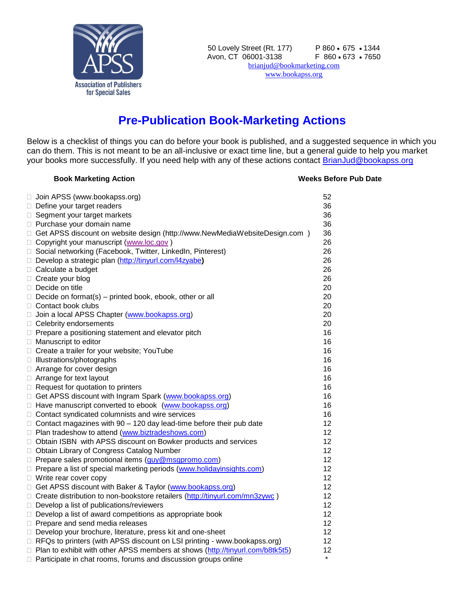

## **Pre-Publication Book-Marketing Actions**

Below is a checklist of things you can do before your book is published, and a suggested sequence in which you can do them. This is not meant to be an all-inclusive or exact time line, but a general guide to help you market your books more successfully. If you need help with any of these actions contact **BrianJud@bookapss.org** 

## **Book Marketing Action Marketing Action Weeks Before Pub Date**

| Join APSS (www.bookapss.org)                                                         | 52      |
|--------------------------------------------------------------------------------------|---------|
| Define your target readers                                                           | 36      |
| □ Segment your target markets                                                        | 36      |
| □ Purchase your domain name                                                          | 36      |
| □ Get APSS discount on website design (http://www.NewMediaWebsiteDesign.com )        | 36      |
| □ Copyright your manuscript (www.loc.gov)                                            | 26      |
| □ Social networking (Facebook, Twitter, LinkedIn, Pinterest)                         | 26      |
| Develop a strategic plan (http://tinyurl.com/l4zyabe)                                | 26      |
| □ Calculate a budget                                                                 | 26      |
| $\Box$ Create your blog                                                              | 26      |
| Decide on title                                                                      | 20      |
| $\Box$ Decide on format(s) – printed book, ebook, other or all                       | 20      |
| □ Contact book clubs                                                                 | 20      |
| □ Join a local APSS Chapter (www.bookapss.org)                                       | 20      |
| □ Celebrity endorsements                                                             | 20      |
| $\Box$ Prepare a positioning statement and elevator pitch                            | 16      |
| □ Manuscript to editor                                                               | 16      |
| □ Create a trailer for your website; YouTube                                         | 16      |
| □ Illustrations/photographs                                                          | 16      |
| □ Arrange for cover design                                                           | 16      |
| □ Arrange for text layout                                                            | 16      |
| $\Box$ Request for quotation to printers                                             | 16      |
| □ Get APSS discount with Ingram Spark (www.bookapss.org)                             | 16      |
| □ Have manuscript converted to ebook (www.bookapss.org)                              | 16      |
| □ Contact syndicated columnists and wire services                                    | 16      |
| $\Box$ Contact magazines with 90 - 120 day lead-time before their pub date           | 12      |
| □ Plan tradeshow to attend (www.biztradeshows.com)                                   | 12      |
| □ Obtain ISBN with APSS discount on Bowker products and services                     | 12      |
| □ Obtain Library of Congress Catalog Number                                          | 12      |
| □ Prepare sales promotional items (guy@msgpromo.com)                                 | 12      |
| □ Prepare a list of special marketing periods (www.holidayinsights.com)              | 12      |
| $\Box$ Write rear cover copy                                                         | 12      |
| □ Get APSS discount with Baker & Taylor (www.bookapss.org)                           | 12      |
| □ Create distribution to non-bookstore retailers (http://tinyurl.com/mn3zywc)        | 12      |
| $\Box$ Develop a list of publications/reviewers                                      | 12      |
| $\Box$ Develop a list of award competitions as appropriate book                      | 12      |
| Prepare and send media releases                                                      | 12      |
| Develop your brochure, literature, press kit and one-sheet                           | 12      |
| $\Box$ RFQs to printers (with APSS discount on LSI printing - www.bookapss.org)      | 12      |
| $\Box$ Plan to exhibit with other APSS members at shows (http://tinyurl.com/b8tk5t5) | 12      |
| Participate in chat rooms, forums and discussion groups online                       | $\star$ |